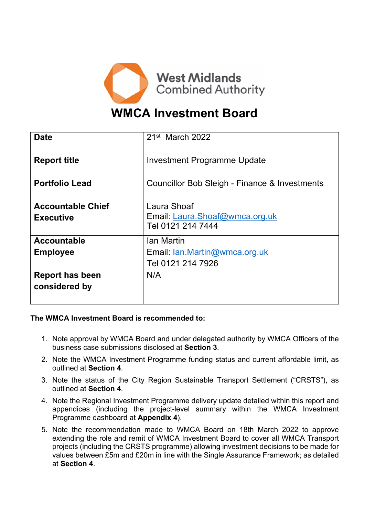

# **WMCA Investment Board**

| <b>Date</b>              | $21st$ March 2022                                   |
|--------------------------|-----------------------------------------------------|
| <b>Report title</b>      | Investment Programme Update                         |
| <b>Portfolio Lead</b>    | Councillor Bob Sleigh - Finance & Investments       |
| <b>Accountable Chief</b> | Laura Shoaf                                         |
| <b>Executive</b>         | Email: Laura.Shoaf@wmca.org.uk<br>Tel 0121 214 7444 |
|                          |                                                     |
| <b>Accountable</b>       | Ian Martin                                          |
| <b>Employee</b>          | Email: Ian.Martin@wmca.org.uk                       |
|                          | Tel 0121 214 7926                                   |
| <b>Report has been</b>   | N/A                                                 |
| considered by            |                                                     |
|                          |                                                     |

### **The WMCA Investment Board is recommended to:**

- 1. Note approval by WMCA Board and under delegated authority by WMCA Officers of the business case submissions disclosed at **Section 3**.
- 2. Note the WMCA Investment Programme funding status and current affordable limit, as outlined at **Section 4**.
- 3. Note the status of the City Region Sustainable Transport Settlement ("CRSTS"), as outlined at **Section 4**.
- 4. Note the Regional Investment Programme delivery update detailed within this report and appendices (including the project-level summary within the WMCA Investment Programme dashboard at **Appendix 4**).
- 5. Note the recommendation made to WMCA Board on 18th March 2022 to approve extending the role and remit of WMCA Investment Board to cover all WMCA Transport projects (including the CRSTS programme) allowing investment decisions to be made for values between £5m and £20m in line with the Single Assurance Framework; as detailed at **Section 4**.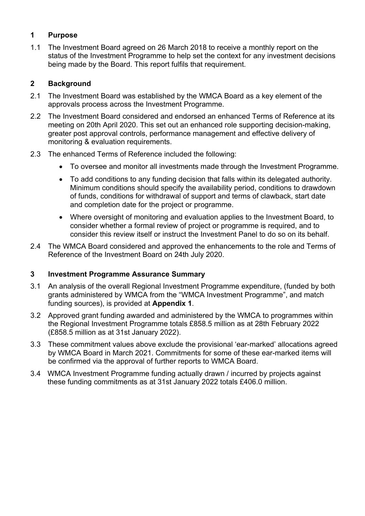# **1 Purpose**

1.1 The Investment Board agreed on 26 March 2018 to receive a monthly report on the status of the Investment Programme to help set the context for any investment decisions being made by the Board. This report fulfils that requirement.

# **2 Background**

- 2.1 The Investment Board was established by the WMCA Board as a key element of the approvals process across the Investment Programme.
- 2.2 The Investment Board considered and endorsed an enhanced Terms of Reference at its meeting on 20th April 2020. This set out an enhanced role supporting decision-making, greater post approval controls, performance management and effective delivery of monitoring & evaluation requirements.
- 2.3 The enhanced Terms of Reference included the following:
	- To oversee and monitor all investments made through the Investment Programme.
	- To add conditions to any funding decision that falls within its delegated authority. Minimum conditions should specify the availability period, conditions to drawdown of funds, conditions for withdrawal of support and terms of clawback, start date and completion date for the project or programme.
	- Where oversight of monitoring and evaluation applies to the Investment Board, to consider whether a formal review of project or programme is required, and to consider this review itself or instruct the Investment Panel to do so on its behalf.
- 2.4 The WMCA Board considered and approved the enhancements to the role and Terms of Reference of the Investment Board on 24th July 2020.

# **3 Investment Programme Assurance Summary**

- 3.1 An analysis of the overall Regional Investment Programme expenditure, (funded by both grants administered by WMCA from the "WMCA Investment Programme", and match funding sources), is provided at **Appendix 1**.
- 3.2 Approved grant funding awarded and administered by the WMCA to programmes within the Regional Investment Programme totals £858.5 million as at 28th February 2022 (£858.5 million as at 31st January 2022).
- 3.3 These commitment values above exclude the provisional 'ear-marked' allocations agreed by WMCA Board in March 2021. Commitments for some of these ear-marked items will be confirmed via the approval of further reports to WMCA Board.
- 3.4 WMCA Investment Programme funding actually drawn / incurred by projects against these funding commitments as at 31st January 2022 totals £406.0 million.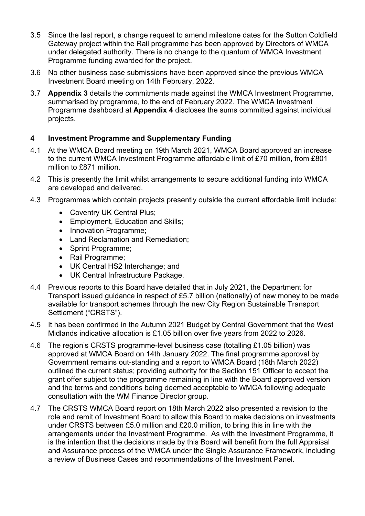- 3.5 Since the last report, a change request to amend milestone dates for the Sutton Coldfield Gateway project within the Rail programme has been approved by Directors of WMCA under delegated authority. There is no change to the quantum of WMCA Investment Programme funding awarded for the project.
- 3.6 No other business case submissions have been approved since the previous WMCA Investment Board meeting on 14th February, 2022.
- 3.7 **Appendix 3** details the commitments made against the WMCA Investment Programme, summarised by programme, to the end of February 2022. The WMCA Investment Programme dashboard at **Appendix 4** discloses the sums committed against individual projects.

# **4 Investment Programme and Supplementary Funding**

- 4.1 At the WMCA Board meeting on 19th March 2021, WMCA Board approved an increase to the current WMCA Investment Programme affordable limit of £70 million, from £801 million to £871 million.
- 4.2 This is presently the limit whilst arrangements to secure additional funding into WMCA are developed and delivered.
- 4.3 Programmes which contain projects presently outside the current affordable limit include:
	- Coventry UK Central Plus;
	- Employment, Education and Skills;
	- Innovation Programme;
	- Land Reclamation and Remediation:
	- Sprint Programme;
	- Rail Programme;
	- UK Central HS2 Interchange; and
	- UK Central Infrastructure Package.
- 4.4 Previous reports to this Board have detailed that in July 2021, the Department for Transport issued guidance in respect of £5.7 billion (nationally) of new money to be made available for transport schemes through the new City Region Sustainable Transport Settlement ("CRSTS").
- 4.5 It has been confirmed in the Autumn 2021 Budget by Central Government that the West Midlands indicative allocation is £1.05 billion over five years from 2022 to 2026.
- 4.6 The region's CRSTS programme-level business case (totalling £1.05 billion) was approved at WMCA Board on 14th January 2022. The final programme approval by Government remains out-standing and a report to WMCA Board (18th March 2022) outlined the current status; providing authority for the Section 151 Officer to accept the grant offer subject to the programme remaining in line with the Board approved version and the terms and conditions being deemed acceptable to WMCA following adequate consultation with the WM Finance Director group.
- 4.7 The CRSTS WMCA Board report on 18th March 2022 also presented a revision to the role and remit of Investment Board to allow this Board to make decisions on investments under CRSTS between £5.0 million and £20.0 million, to bring this in line with the arrangements under the Investment Programme. As with the Investment Programme, it is the intention that the decisions made by this Board will benefit from the full Appraisal and Assurance process of the WMCA under the Single Assurance Framework, including a review of Business Cases and recommendations of the Investment Panel.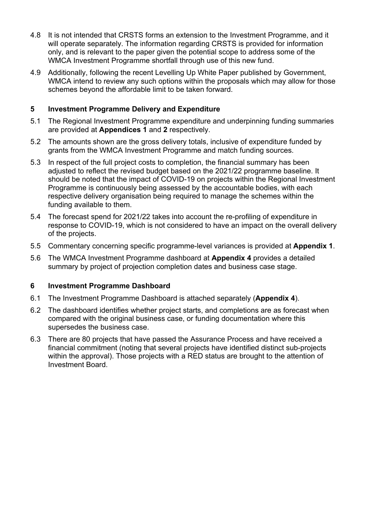- 4.8 It is not intended that CRSTS forms an extension to the Investment Programme, and it will operate separately. The information regarding CRSTS is provided for information only, and is relevant to the paper given the potential scope to address some of the WMCA Investment Programme shortfall through use of this new fund.
- 4.9 Additionally, following the recent Levelling Up White Paper published by Government, WMCA intend to review any such options within the proposals which may allow for those schemes beyond the affordable limit to be taken forward.

# **5 Investment Programme Delivery and Expenditure**

- 5.1 The Regional Investment Programme expenditure and underpinning funding summaries are provided at **Appendices 1** and **2** respectively.
- 5.2 The amounts shown are the gross delivery totals, inclusive of expenditure funded by grants from the WMCA Investment Programme and match funding sources.
- 5.3 In respect of the full project costs to completion, the financial summary has been adjusted to reflect the revised budget based on the 2021/22 programme baseline. It should be noted that the impact of COVID-19 on projects within the Regional Investment Programme is continuously being assessed by the accountable bodies, with each respective delivery organisation being required to manage the schemes within the funding available to them.
- 5.4 The forecast spend for 2021/22 takes into account the re-profiling of expenditure in response to COVID-19, which is not considered to have an impact on the overall delivery of the projects.
- 5.5 Commentary concerning specific programme-level variances is provided at **Appendix 1**.
- 5.6 The WMCA Investment Programme dashboard at **Appendix 4** provides a detailed summary by project of projection completion dates and business case stage.

# **6 Investment Programme Dashboard**

- 6.1 The Investment Programme Dashboard is attached separately (**Appendix 4**).
- 6.2 The dashboard identifies whether project starts, and completions are as forecast when compared with the original business case, or funding documentation where this supersedes the business case.
- 6.3 There are 80 projects that have passed the Assurance Process and have received a financial commitment (noting that several projects have identified distinct sub-projects within the approval). Those projects with a RED status are brought to the attention of Investment Board.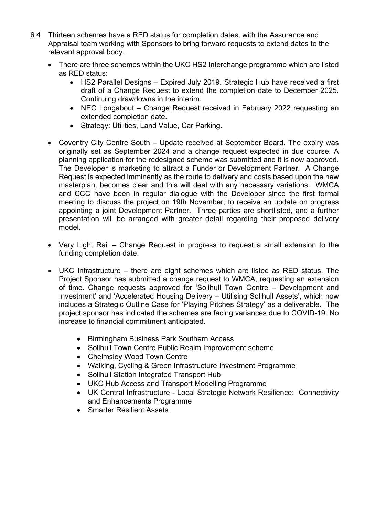- 6.4 Thirteen schemes have a RED status for completion dates, with the Assurance and Appraisal team working with Sponsors to bring forward requests to extend dates to the relevant approval body.
	- There are three schemes within the UKC HS2 Interchange programme which are listed as RED status:
		- HS2 Parallel Designs Expired July 2019. Strategic Hub have received a first draft of a Change Request to extend the completion date to December 2025. Continuing drawdowns in the interim.
		- NEC Longabout Change Request received in February 2022 requesting an extended completion date.
		- Strategy: Utilities, Land Value, Car Parking.
	- Coventry City Centre South Update received at September Board. The expiry was originally set as September 2024 and a change request expected in due course. A planning application for the redesigned scheme was submitted and it is now approved. The Developer is marketing to attract a Funder or Development Partner. A Change Request is expected imminently as the route to delivery and costs based upon the new masterplan, becomes clear and this will deal with any necessary variations. WMCA and CCC have been in regular dialogue with the Developer since the first formal meeting to discuss the project on 19th November, to receive an update on progress appointing a joint Development Partner. Three parties are shortlisted, and a further presentation will be arranged with greater detail regarding their proposed delivery model.
	- Very Light Rail Change Request in progress to request a small extension to the funding completion date.
	- UKC Infrastructure there are eight schemes which are listed as RED status. The Project Sponsor has submitted a change request to WMCA, requesting an extension of time. Change requests approved for 'Solihull Town Centre – Development and Investment' and 'Accelerated Housing Delivery – Utilising Solihull Assets', which now includes a Strategic Outline Case for 'Playing Pitches Strategy' as a deliverable. The project sponsor has indicated the schemes are facing variances due to COVID-19. No increase to financial commitment anticipated.
		- Birmingham Business Park Southern Access
		- Solihull Town Centre Public Realm Improvement scheme
		- Chelmsley Wood Town Centre
		- Walking, Cycling & Green Infrastructure Investment Programme
		- Solihull Station Integrated Transport Hub
		- UKC Hub Access and Transport Modelling Programme
		- UK Central Infrastructure Local Strategic Network Resilience: Connectivity and Enhancements Programme
		- Smarter Resilient Assets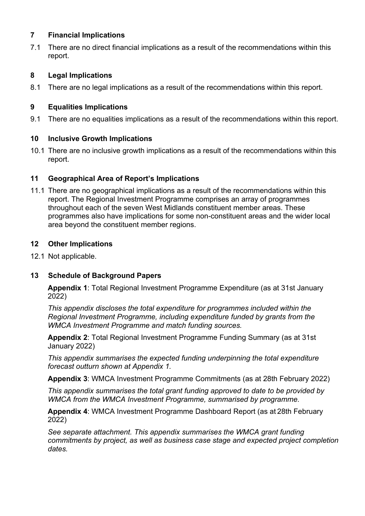## **7 Financial Implications**

7.1 There are no direct financial implications as a result of the recommendations within this report.

# **8 Legal Implications**

8.1 There are no legal implications as a result of the recommendations within this report.

# **9 Equalities Implications**

9.1 There are no equalities implications as a result of the recommendations within this report.

# **10 Inclusive Growth Implications**

10.1 There are no inclusive growth implications as a result of the recommendations within this report.

# **11 Geographical Area of Report's Implications**

11.1 There are no geographical implications as a result of the recommendations within this report. The Regional Investment Programme comprises an array of programmes throughout each of the seven West Midlands constituent member areas. These programmes also have implications for some non-constituent areas and the wider local area beyond the constituent member regions.

# **12 Other Implications**

12.1 Not applicable.

# **13 Schedule of Background Papers**

**Appendix 1**: Total Regional Investment Programme Expenditure (as at 31st January 2022)

*This appendix discloses the total expenditure for programmes included within the Regional Investment Programme, including expenditure funded by grants from the WMCA Investment Programme and match funding sources.*

**Appendix 2**: Total Regional Investment Programme Funding Summary (as at 31st January 2022)

*This appendix summarises the expected funding underpinning the total expenditure forecast outturn shown at Appendix 1.*

**Appendix 3**: WMCA Investment Programme Commitments (as at 28th February 2022)

*This appendix summarises the total grant funding approved to date to be provided by WMCA from the WMCA Investment Programme, summarised by programme.*

**Appendix 4**: WMCA Investment Programme Dashboard Report (as at 28th February 2022)

*See separate attachment. This appendix summarises the WMCA grant funding commitments by project, as well as business case stage and expected project completion dates.*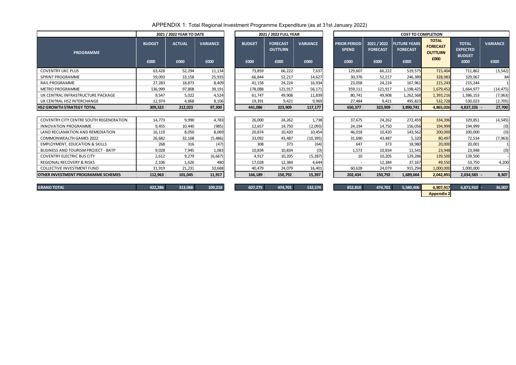APPENDIX 1: Total Regional Investment Programme Expenditure (as at 31st January 2022)

| <b>BUDGET</b><br><b>VARIANCE</b><br><b>FORECAST</b><br><b>OUTTURN</b><br>£000<br>£000<br>£000<br>7,637<br>73,859<br>66,222<br>14,627<br>66,844<br>52,217<br>16,934<br>41,158<br>24,224<br>121,917<br>56,171<br>178,088<br>11,839<br>49,908<br>61,747<br>19,391<br>9,969<br>9,421 | 2021 / 2022 FULL YEAR |         |         |  |  |  |  |  |  |  |  |  |  |
|----------------------------------------------------------------------------------------------------------------------------------------------------------------------------------------------------------------------------------------------------------------------------------|-----------------------|---------|---------|--|--|--|--|--|--|--|--|--|--|
|                                                                                                                                                                                                                                                                                  |                       |         |         |  |  |  |  |  |  |  |  |  |  |
|                                                                                                                                                                                                                                                                                  |                       |         |         |  |  |  |  |  |  |  |  |  |  |
|                                                                                                                                                                                                                                                                                  |                       |         |         |  |  |  |  |  |  |  |  |  |  |
|                                                                                                                                                                                                                                                                                  |                       |         |         |  |  |  |  |  |  |  |  |  |  |
|                                                                                                                                                                                                                                                                                  |                       |         |         |  |  |  |  |  |  |  |  |  |  |
|                                                                                                                                                                                                                                                                                  |                       |         |         |  |  |  |  |  |  |  |  |  |  |
|                                                                                                                                                                                                                                                                                  |                       |         |         |  |  |  |  |  |  |  |  |  |  |
|                                                                                                                                                                                                                                                                                  |                       |         |         |  |  |  |  |  |  |  |  |  |  |
|                                                                                                                                                                                                                                                                                  | 441,086               | 323,909 | 117,177 |  |  |  |  |  |  |  |  |  |  |

|                                             |                                        | <b>COST TO COMPLETION</b>                      |                                                           |                                                          |                         |
|---------------------------------------------|----------------------------------------|------------------------------------------------|-----------------------------------------------------------|----------------------------------------------------------|-------------------------|
| <b>PRIOR PERIOD</b><br><b>SPEND</b><br>£000 | 2021 / 2022<br><b>FORECAST</b><br>£000 | <b>FUTURE YEARS</b><br><b>FORECAST</b><br>£000 | <b>TOTAL</b><br><b>FORECAST</b><br><b>OUTTURN</b><br>£000 | <b>TOTAL</b><br><b>EXPECTED</b><br><b>BUDGET</b><br>£000 | <b>VARIANCE</b><br>£000 |
| 129,607                                     | 66,222                                 | 519,575                                        | 715,404                                                   | 711,862                                                  | (3, 542)                |
| 30,376                                      | 52,217                                 | 246,389                                        | 328,983                                                   | 329,067                                                  | 84                      |
| 23,058                                      | 24,224                                 | 167,961                                        | 215,243                                                   | 215,244                                                  |                         |
| 359,111                                     | 121,917                                | 1,198,425                                      | 1,679,452                                                 | 1,664,977                                                | (14, 475)               |
| 80,741                                      | 49,908                                 | 1,262,568                                      | 1,393,216                                                 | 1,386,153                                                | (7,063)                 |
| 27,484                                      | 9,421                                  | 495,823                                        | 532,728                                                   | 530,023                                                  | (2,705)                 |
| 650,377                                     | 323,909                                | 3,890,741                                      | 4,865,026                                                 | 4,837,326                                                | 27,700                  |
|                                             |                                        |                                                |                                                           |                                                          |                         |
| 37,675                                      | 24,262                                 | 272,459                                        | 334,396                                                   | 329,851                                                  | (4, 545)                |
| 24,194                                      | 14,750                                 | 156,056                                        | 194,999                                                   | 194,999                                                  | (0)                     |
| 46,018                                      | 10,420                                 | 143,562                                        | 200,000                                                   | 200,000                                                  | (0)                     |
| 31,690                                      | 43,487                                 | 5,320                                          | 80,497                                                    | 72,534                                                   | (7, 963)                |
| 647                                         | 373                                    | 18,980                                         | 20,000                                                    | 20,001                                                   |                         |
| 1,573                                       | 10,834                                 | 11,541                                         | 23,948                                                    | 23,948                                                   | (0)                     |
| 10                                          | 10,205                                 | 129,286                                        | 139,500                                                   | 139,500                                                  |                         |
|                                             | 12,384                                 | 37,167                                         | 49,550                                                    | 53,750                                                   | 4,200                   |
| 60,628                                      | 24,079                                 | 915,294                                        | 1,000,000                                                 | 1,000,000                                                |                         |
| 202,434                                     | 150,792                                | 1,689,664                                      | 2,042,891                                                 | 2,034,583 -                                              | 8,307                   |
|                                             |                                        |                                                |                                                           |                                                          |                         |
|                                             |                                        |                                                |                                                           |                                                          |                         |

|                                            |                       | 2021 / 2022 YEAR TO DATE |                         | 2021 / 2022 FULL YEAR |                                           |                         | <b>COST TO COMPLETION</b>                   |                                        |                                                |                                                           |                                                          |                         |
|--------------------------------------------|-----------------------|--------------------------|-------------------------|-----------------------|-------------------------------------------|-------------------------|---------------------------------------------|----------------------------------------|------------------------------------------------|-----------------------------------------------------------|----------------------------------------------------------|-------------------------|
| <b>PROGRAMME</b>                           | <b>BUDGET</b><br>£000 | <b>ACTUAL</b><br>£000    | <b>VARIANCE</b><br>£000 | <b>BUDGET</b><br>£000 | <b>FORECAST</b><br><b>OUTTURN</b><br>£000 | <b>VARIANCE</b><br>£000 | <b>PRIOR PERIOD</b><br><b>SPEND</b><br>£000 | 2021 / 2022<br><b>FORECAST</b><br>£000 | <b>FUTURE YEARS</b><br><b>FORECAST</b><br>£000 | <b>TOTAL</b><br><b>FORECAST</b><br><b>OUTTURN</b><br>£000 | <b>TOTAL</b><br><b>EXPECTED</b><br><b>BUDGET</b><br>£000 | <b>VARIANCE</b><br>£000 |
| <b>COVENTRY UKC PLUS</b>                   | 63,428                | 52,294                   | 11,134                  | 73,859                | 66,222                                    | 7,637                   | 129,607                                     | 66,222                                 | 519,575                                        | 715,404                                                   | 711,862                                                  | (3, 542)                |
| SPRINT PROGRAMME                           | 59,093                | 33,158                   | 25,935                  | 66,844                | 52,217                                    | 14,627                  | 30,376                                      | 52,217                                 | 246,389                                        | 328,983                                                   | 329,067                                                  | 84                      |
| RAIL PROGRAMME                             | 27,283                | 18,873                   | 8,409                   | 41,158                | 24,224                                    | 16,934                  | 23,058                                      | 24,224                                 | 167,961                                        | 215,243                                                   | 215,244                                                  |                         |
| <b>METRO PROGRAMME</b>                     | 136,999               | 97,808                   | 39,191                  | 178,088               | 121,917                                   | 56,171                  | 359,111                                     | 121,917                                | 1,198,425                                      | 1,679,452                                                 | 1,664,977                                                | (14, 475)               |
| UK CENTRAL INFRASTRUCTURE PACKAGE          | 9,547                 | 5,022                    | 4,524                   | 61,747                | 49,908                                    | 11,839                  | 80,741                                      | 49,908                                 | 1,262,568                                      | 1,393,216                                                 | 1,386,153                                                | (7,063)                 |
| UK CENTRAL HS2 INTERCHANGE                 | 12,974                | 4,868                    | 8,106                   | 19,391                | 9,421                                     | 9,969                   | 27,484                                      | 9,421                                  | 495,823                                        | 532,728                                                   | 530,023                                                  | (2,705)                 |
| <b>HS2 GROWTH STRATEGY TOTAL</b>           | 309,323               | 212,023                  | 97,300                  | 441,086               | 323,909                                   | 117,177                 | 650,377                                     | 323,909                                | 3,890,741                                      | 4,865,026                                                 | $4,837,326$ -                                            | 27,700                  |
|                                            |                       |                          |                         |                       |                                           |                         |                                             |                                        |                                                |                                                           |                                                          |                         |
| COVENTRY CITY CENTRE SOUTH REGENERATION    | 14,773                | 9,990                    | 4,783                   | 26,000                | 24,262                                    | 1,738                   | 37,675                                      | 24,262                                 | 272,459                                        | 334,396                                                   | 329,851                                                  | (4, 545)                |
| <b>INNOVATION PROGRAMME</b>                | 9,455                 | 10,440                   | (985)                   | 12,657                | 14,750                                    | (2,093)                 | 24,194                                      | 14,750                                 | 156,056                                        | 194,999                                                   | 194,999                                                  | (0)                     |
| LAND RECLAMATION AND REMEDIATION           | 16,119                | 8,050                    | 8,069                   | 20,874                | 10,420                                    | 10,454                  | 46,018                                      | 10,420                                 | 143,562                                        | 200,000                                                   | 200,000                                                  | (0)                     |
| <b>COMMONWEALTH GAMES 2022</b>             | 26,682                | 32,168                   | (5, 486)                | 33,092                | 43,487                                    | (10, 395)               | 31,690                                      | 43,487                                 | 5,320                                          | 80,497                                                    | 72,534                                                   | (7, 963)                |
| <b>EMPLOYMENT, EDUCATION &amp; SKILLS</b>  | 268                   | 316                      | (47)                    | 308                   | 373                                       | (64)                    | 647                                         | 373                                    | 18,980                                         | 20,000                                                    | 20,001                                                   |                         |
| <b>BUSINESS AND TOURISM PROJECT - BATP</b> | 9,028                 | 7,945                    | 1,083                   | 10,834                | 10,834                                    | (0)                     | 1,573                                       | 10,834                                 | 11,541                                         | 23,948                                                    | 23,948                                                   | (0)                     |
| <b>COVENTRY ELECTRIC BUS CITY</b>          | 2,612                 | 9,279                    | (6, 667)                | 4,917                 | 10,205                                    | (5, 287)                | 10                                          | 10,205                                 | 129,286                                        | 139,500                                                   | 139,500                                                  |                         |
| <b>REGIONAL RECOVERY &amp; RISKS</b>       | 2,106                 | 1,626                    | 480                     | 17,028                | 12,384                                    | 4,644                   |                                             | 12,384                                 | 37,167                                         | 49,550                                                    | 53,750                                                   | 4,200                   |

|                    | 2021 / 2022 YEAR TO DATE |                         |                       | 2021 / 2022 FULL YEAR                     |                         |  |                                             |                                        | <b>COST TO COMPLETION</b>                      |                                                           |                                                          |                         |
|--------------------|--------------------------|-------------------------|-----------------------|-------------------------------------------|-------------------------|--|---------------------------------------------|----------------------------------------|------------------------------------------------|-----------------------------------------------------------|----------------------------------------------------------|-------------------------|
| <b>DGET</b><br>000 | <b>ACTUAL</b><br>£000    | <b>VARIANCE</b><br>£000 | <b>BUDGET</b><br>£000 | <b>FORECAST</b><br><b>OUTTURN</b><br>£000 | <b>VARIANCE</b><br>£000 |  | <b>PRIOR PERIOD</b><br><b>SPEND</b><br>£000 | 2021 / 2022<br><b>FORECAST</b><br>£000 | <b>FUTURE YEARS</b><br><b>FORECAST</b><br>£000 | <b>TOTAL</b><br><b>FORECAST</b><br><b>OUTTURN</b><br>£000 | <b>TOTAL</b><br><b>EXPECTED</b><br><b>BUDGET</b><br>£000 | <b>VARIANCE</b><br>£000 |
| 63,428             | 52,294                   | 11,134                  | 73,859                | 66,222                                    | 7,637                   |  | 129,607                                     | 66,222                                 | 519,575                                        | 715,404                                                   | 711,862                                                  | (3, 542)                |
| 59,093             | 33,158                   | 25,935                  | 66,844                | 52,217                                    | 14,627                  |  | 30,376                                      | 52,217                                 | 246,389                                        | 328,983                                                   | 329,067                                                  | 84                      |
| 27,283             | 18,873                   | 8,409                   | 41,158                | 24,224                                    | 16,934                  |  | 23,058                                      | 24,224                                 | 167,961                                        | 215,243                                                   | 215,244                                                  |                         |
| 136,999            | 97,808                   | 39,191                  | 178,088               | 121,917                                   | 56,171                  |  | 359,111                                     | 121,917                                | 1,198,425                                      | 1,679,452                                                 | 1,664,977                                                | (14, 475)               |
| 9,547              | 5,022                    | 4,524                   | 61,747                | 49,908                                    | 11,839                  |  | 80,741                                      | 49,908                                 | 1,262,568                                      | 1,393,216                                                 | 1,386,153                                                | (7,063)                 |
| 12,974             | 4,868                    | 8,106                   | 19,391                | 9,421                                     | 9,969                   |  | 27,484                                      | 9,421                                  | 495,823                                        | 532,728                                                   | 530,023                                                  | (2,705)                 |
| 309,323            | 212,023                  | 97,300                  | 441,086               | 323,909                                   | 117,177                 |  | 650,377                                     | 323,909                                | 3,890,741                                      | 4,865,026                                                 | 4,837,326 -                                              | 27,700                  |
|                    |                          |                         |                       |                                           |                         |  |                                             |                                        |                                                |                                                           |                                                          |                         |
| 14,773             | 9,990                    | 4,783                   | 26,000                | 24,262                                    | 1,738                   |  | 37,675                                      | 24,262                                 | 272,459                                        | 334,396                                                   | 329,851                                                  | (4, 545)                |
| 9,455              | 10,440                   | (985)                   | 12,657                | 14,750                                    | (2,093)                 |  | 24,194                                      | 14,750                                 | 156,056                                        | 194,999                                                   | 194,999                                                  | (0)                     |
| 16,119             | 8,050                    | 8,069                   | 20,874                | 10,420                                    | 10,454                  |  | 46,018                                      | 10,420                                 | 143,562                                        | 200,000                                                   | 200,000                                                  | (0)                     |
| 26,682             | 32,168                   | (5, 486)                | 33,092                | 43,487                                    | (10, 395)               |  | 31,690                                      | 43,487                                 | 5,320                                          | 80,497                                                    | 72,534                                                   | (7,963)                 |
| 268                | 316                      | (47)                    | 308                   | 373                                       | (64)                    |  | 647                                         | 373                                    | 18,980                                         | 20,000                                                    | 20,001                                                   |                         |
| 9,028              | 7,945                    | 1,083                   | 10,834                | 10,834                                    | (0)                     |  | 1,573                                       | 10,834                                 | 11,541                                         | 23,948                                                    | 23,948                                                   | (0)                     |
| 2,612              | 9,279                    | (6, 667)                | 4,917                 | 10,205                                    | (5, 287)                |  | 10                                          | 10,205                                 | 129,286                                        | 139,500                                                   | 139,500                                                  |                         |
| 2,106              | 1,626                    | 480                     | 17,028                | 12,384                                    | 4,644                   |  |                                             | 12,384                                 | 37,167                                         | 49,550                                                    | 53,750                                                   | 4,200                   |
| 31,919             | 21,231                   | 10,688                  | 40,479                | 24,079                                    | 16,401                  |  | 60,628                                      | 24,079                                 | 915,294                                        | 1,000,000                                                 | 1,000,000                                                |                         |
| 112,963            | 101,045                  | 11,917                  | 166,189               | 150,792                                   | 15,397                  |  | 202,434                                     | 150,792                                | 1,689,664                                      | 2,042,891                                                 | $2,034,583$ -                                            | 8,307                   |
|                    |                          |                         |                       |                                           |                         |  |                                             |                                        |                                                |                                                           |                                                          |                         |

|  | <b>GRAND TOTAL</b> | 70C | 212 NGR. | ם רכים |
|--|--------------------|-----|----------|--------|
|--|--------------------|-----|----------|--------|

| OTHER INVESTMENT PROGRAMME SCHEMES         | 112,963 | 101,045 | 11,917   | 166,189 | 150,792 | 15,397    |
|--------------------------------------------|---------|---------|----------|---------|---------|-----------|
| <b>COLLECTIVE INVESTMENT FUND</b>          | 31,919  | 21,231  | 10,688   | 40,479  | 24,079  | 16,401    |
| <b>REGIONAL RECOVERY &amp; RISKS</b>       | 2,106   | 1,626   | 480      | 17,028  | 12,384  | 4,644     |
| <b>COVENTRY ELECTRIC BUS CITY</b>          | 2,612   | 9,279   | (6, 667) | 4,917   | 10,205  | (5, 287)  |
| <b>BUSINESS AND TOURISM PROJECT - BATP</b> | 9,028   | 7,945   | 1,083    | 10,834  | 10,834  | (0)       |
| <b>EMPLOYMENT, EDUCATION &amp; SKILLS</b>  | 268     | 316     | (47)     | 308     | 373     | (64)      |
| <b>COMMONWEALTH GAMES 2022</b>             | 26,682  | 32,168  | (5,486)  | 33,092  | 43,487  | (10, 395) |
| LAND RECLAMATION AND REMEDIATION           | 16,119  | 8,050   | 8,069    | 20,874  | 10,420  | 10,454    |
| <b>INNOVATION PROGRAMME</b>                | 9,455   | 10,440  | (985)    | 12,657  | 14,750  | (2,093)   |
| COVENTRY CITY CENTRE SOUTH REGENERATION    | 14,773  | 9,990   | 4,783    | 26,000  | 24,262  | 1,738     |
|                                            |         |         |          |         |         |           |

| 607,275 | 474,701 | 132,574 | 852.810 | 474,701 | 5,580,406 | 6,907,917         | $6,871,910$ - | 36,007 |
|---------|---------|---------|---------|---------|-----------|-------------------|---------------|--------|
|         |         |         |         |         |           | <b>Appendix 2</b> |               |        |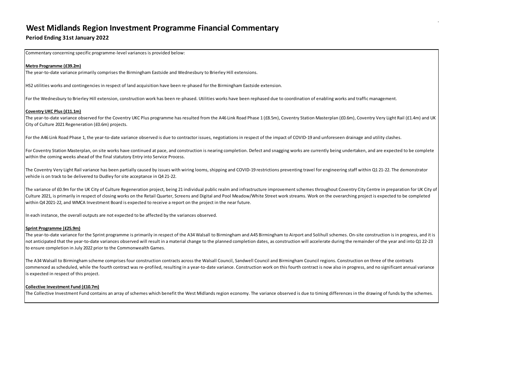# **West Midlands Region Investment Programme Financial Commentary**

# **Period Ending 31st January 2022**

Commentary concerning specific programme-level variances is provided below:

### **Metro Programme (£39.2m)**

The year-to-date variance primarily comprises the Birmingham Eastside and Wednesbury to Brierley Hill extensions.

HS2 utilities works and contingencies in respect of land acquisition have been re-phased for the Birmingham Eastside extension.

For the Wednesbury to Brierley Hill extension, construction work has been re-phased. Utilities works have been rephased due to coordination of enabling works and traffic management.

#### **Coventry UKC Plus (£11.1m)**

The year-to-date variance observed for the Coventry UKC Plus programme has resulted from the A46 Link Road Phase 1 (£8.5m), Coventry Station Masterplan (£0.6m), Coventry Very Light Rail (£1.4m) and UK City of Culture 2021 Regeneration (£0.6m) projects.

For the A46 Link Road Phase 1, the year-to-date variance observed is due to contractor issues, negotiations in respect of the impact of COVID-19 and unforeseen drainage and utility clashes.

The variance of £0.9m for the UK City of Culture Regeneration project, being 21 individual public realm and infrastructure improvement schemes throughout Coventry City Centre in preparation for UK City of Culture 2021, is primarily in respect of closing works on the Retail Quarter, Screens and Digital and Pool Meadow/White Street work streams. Work on the overarching project is expected to be completed within Q4 2021-22, and WMCA Investment Board is expected to receive a report on the project in the near future.

For Coventry Station Masterplan, on site works have continued at pace, and construction is nearing completion. Defect and snagging works are currently being undertaken, and are expected to be complete within the coming weeks ahead of the final statutory Entry into Service Process.

The Coventry Very Light Rail variance has been partially caused by issues with wiring looms, shipping and COVID-19 restrictions preventing travel for engineering staff within Q1 21-22. The demonstrator vehicle is on track to be delivered to Dudley forsite acceptance in Q4 21-22.

In each instance, the overall outputs are not expected to be affected by the variances observed.

#### **Sprint Programme (£25.9m)**

The year-to-date variance for the Sprint programme is primarily in respect of the A34 Walsall to Birmingham and A45 Birmingham to Airport and Solihull schemes. On-site construction is in progress, and it is not anticipated that the year-to-date variances observed will result in a material change to the planned completion dates, as construction will accelerate during the remainder of the year and into Q1 22-23 to ensure completion in July 2022 prior to the Commonwealth Games.

The A34 Walsall to Birmingham scheme comprises four construction contracts across the Walsall Council, Sandwell Council and Birmingham Council regions. Construction on three of the contracts commenced as scheduled, while the fourth contract was re-profiled, resulting in a year-to-date variance. Construction work on this fourth contract is now also in progress, and no significant annual variance is expected in respect of this project.

#### **Collective Investment Fund (£10.7m)**

The Collective Investment Fund contains an array of schemes which benefit the West Midlands region economy. The variance observed is due to timing differences in the drawing of funds by the schemes.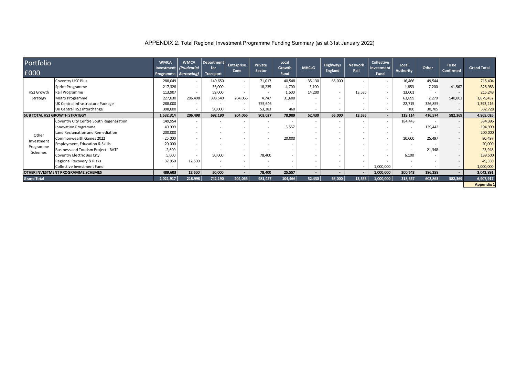| APPENDIX 2: Total Regional Investment Programme Funding Summary (as at 31st January 2022) |  |  |  |
|-------------------------------------------------------------------------------------------|--|--|--|
|-------------------------------------------------------------------------------------------|--|--|--|

| Portfolio                                 |                                           | <b>WMCA</b><br>Investment | <b>WMCA</b>                           | Department<br>for | <b>Enterprise</b>        | Private                  | Local<br>Growth          | <b>MHCLG</b>             | <b>Highways</b>          | <b>Network</b>           | <b>Collective</b>         | Local                    | <b>Other</b>             | To Be                    | <b>Grand Total</b> |
|-------------------------------------------|-------------------------------------------|---------------------------|---------------------------------------|-------------------|--------------------------|--------------------------|--------------------------|--------------------------|--------------------------|--------------------------|---------------------------|--------------------------|--------------------------|--------------------------|--------------------|
| £000                                      |                                           |                           | (Prudential<br>Programme   Borrowing) | <b>Transport</b>  | Zone                     | Sector                   | <b>Fund</b>              |                          | <b>England</b>           | Rail                     | Investment<br><b>Fund</b> | <b>Authority</b>         |                          | Confirmed                |                    |
|                                           | <b>Coventry UKC Plus</b>                  | 288,049                   |                                       | 149,650           | $\overline{\phantom{0}}$ | 71,017                   | 40,548                   | 35,130                   | 65,000                   |                          |                           | 16,466                   | 49,544                   |                          | 715,404            |
|                                           | Sprint Programme                          | 217,328                   | $\overline{\phantom{a}}$              | 35,000            | $\overline{a}$           | 18,235                   | 4,700                    | 3,100                    | $\overline{\phantom{0}}$ |                          |                           | 1,853                    | 7,200                    | 41,567                   | 328,983            |
| HS2 Growth                                | Rail Programme                            | 113,907                   | $\overline{\phantom{a}}$              | 59,000            | $\overline{\phantom{a}}$ | $\overline{\phantom{0}}$ | 1,600                    | 14,200                   | $\overline{\phantom{a}}$ | 13,535                   | $\overline{\phantom{a}}$  | 13,001                   | $\overline{\phantom{a}}$ | $\overline{\phantom{0}}$ | 215,243            |
| Strategy                                  | Metro Programme                           | 227,030                   | 206,498                               | 398,540           | 204,066                  | 4,747                    | 31,600                   |                          |                          |                          |                           | 63,899                   | 2,270                    | 540,802                  | 1,679,452          |
|                                           | UK Central Infrastructure Package         | 288,000                   |                                       |                   |                          | 755,646                  | $\overline{\phantom{0}}$ |                          |                          |                          |                           | 22,715                   | 326,855                  |                          | 1,393,216          |
|                                           | UK Central HS2 Interchange                | 398,000                   | $\overline{\phantom{a}}$              | 50,000            | $\overline{\phantom{a}}$ | 53,383                   | 460                      | $\overline{a}$           |                          | $\overline{\phantom{a}}$ | $\overline{\phantom{0}}$  | 180                      | 30,705                   |                          | 532,728            |
|                                           | <b>SUB TOTAL HS2 GROWTH STRATEGY</b>      | 1,532,314                 | 206,498                               | 692,190           | 204,066                  | 903,027                  | 78,909                   | 52,430                   | 65,000                   | 13,535                   | $\blacksquare$            | 118,114                  | 416,574                  | 582,369                  | 4,865,026          |
|                                           | Coventry City Centre South Regeneration   | 149,954                   |                                       |                   |                          |                          | $\overline{\phantom{0}}$ | $\overline{\phantom{0}}$ |                          |                          |                           | 184,443                  |                          |                          | 334,396            |
|                                           | Innovation Programme                      | 49,999                    | $\overline{\phantom{0}}$              |                   |                          | $\overline{\phantom{0}}$ | 5,557                    | $\overline{a}$           |                          | $\overline{\phantom{a}}$ |                           | $\overline{\phantom{a}}$ | 139,443                  | $\overline{\phantom{a}}$ | 194,999            |
| Other                                     | Land Reclamation and Remediation          | 200,000                   | $\overline{\phantom{0}}$              |                   |                          |                          | $\overline{\phantom{0}}$ | $\overline{\phantom{0}}$ |                          | $\overline{\phantom{0}}$ |                           |                          |                          |                          | 200,000            |
|                                           | Commonwealth Games 2022                   | 25,000                    |                                       |                   |                          |                          | 20,000                   | $\overline{\phantom{0}}$ |                          | $\overline{\phantom{0}}$ |                           | 10,000                   | 25,497                   |                          | 80,497             |
| Investment                                | <b>Employment, Education &amp; Skills</b> | 20,000                    | $\overline{\phantom{a}}$              |                   |                          |                          | $\overline{\phantom{0}}$ | $\overline{\phantom{0}}$ |                          | $\overline{\phantom{a}}$ |                           | $\overline{\phantom{a}}$ |                          |                          | 20,000             |
| Programme<br>Schemes                      | Business and Tourism Project - BATP       | 2,600                     |                                       |                   |                          |                          | $\overline{\phantom{0}}$ |                          |                          |                          |                           |                          | 21,348                   |                          | 23,948             |
|                                           | Coventry Electric Bus City                | 5,000                     | $\overline{\phantom{a}}$              | 50,000            |                          | 78,400                   | $\overline{\phantom{a}}$ |                          |                          |                          |                           | 6,100                    |                          |                          | 139,500            |
|                                           | Regional Recovery & Risks                 | 37,050                    | 12,500                                |                   |                          |                          | $\overline{\phantom{0}}$ |                          |                          |                          |                           |                          |                          |                          | 49,550             |
|                                           | Collective Investment Fund                |                           |                                       |                   |                          |                          | $\overline{\phantom{0}}$ | $\overline{a}$           |                          |                          | 1,000,000                 | $\overline{\phantom{0}}$ |                          | $\overline{\phantom{a}}$ | 1,000,000          |
| <b>OTHER INVESTMENT PROGRAMME SCHEMES</b> |                                           | 489,603                   | 12,500                                | 50,000            | $\sim$                   | 78,400                   | 25,557                   | $\sim$                   | $\blacksquare$           |                          | 1,000,000                 | 200,543                  | 186,288                  |                          | 2,042,891          |
| <b>Grand Total</b>                        |                                           |                           | 218,998                               | 742,190           | 204,066                  | 981,427                  | 104,466                  | 52,430                   | 65,000 $ $               | 13,535                   | 1,000,000                 | 318,657                  | 602,863                  | 582,369                  | 6,907,917          |
|                                           |                                           |                           |                                       |                   |                          |                          |                          |                          |                          |                          |                           |                          |                          |                          | <b>Appendix 1</b>  |